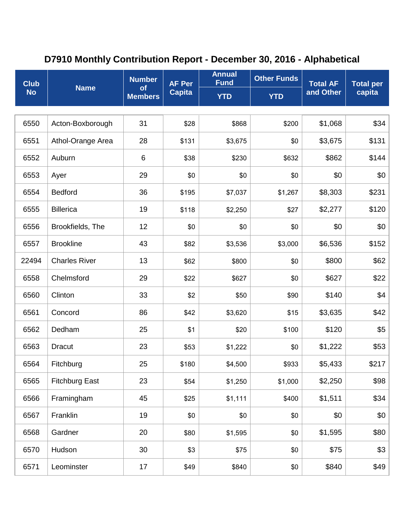## **D7910 Monthly Contribution Report - December 30, 2016 - Alphabetical**

| <b>Club</b><br><b>No</b> | <b>Name</b>           | <b>Number</b><br>of<br><b>Members</b> | <b>AF Per</b><br><b>Capita</b> | <b>Annual</b><br><b>Fund</b> | <b>Other Funds</b> | <b>Total AF</b><br>and Other | <b>Total per</b><br>capita |
|--------------------------|-----------------------|---------------------------------------|--------------------------------|------------------------------|--------------------|------------------------------|----------------------------|
|                          |                       |                                       |                                | <b>YTD</b>                   | <b>YTD</b>         |                              |                            |
|                          |                       |                                       |                                |                              |                    |                              |                            |
| 6550                     | Acton-Boxborough      | 31                                    | \$28                           | \$868                        | \$200              | \$1,068                      | \$34                       |
| 6551                     | Athol-Orange Area     | 28                                    | \$131                          | \$3,675                      | \$0                | \$3,675                      | \$131                      |
| 6552                     | Auburn                | 6                                     | \$38                           | \$230                        | \$632              | \$862                        | \$144                      |
| 6553                     | Ayer                  | 29                                    | \$0                            | \$0                          | \$0                | \$0                          | \$0                        |
| 6554                     | <b>Bedford</b>        | 36                                    | \$195                          | \$7,037                      | \$1,267            | \$8,303                      | \$231                      |
| 6555                     | <b>Billerica</b>      | 19                                    | \$118                          | \$2,250                      | \$27               | \$2,277                      | \$120                      |
| 6556                     | Brookfields, The      | 12                                    | \$0                            | \$0                          | \$0                | \$0                          | \$0                        |
| 6557                     | <b>Brookline</b>      | 43                                    | \$82                           | \$3,536                      | \$3,000            | \$6,536                      | \$152                      |
| 22494                    | <b>Charles River</b>  | 13                                    | \$62                           | \$800                        | \$0                | \$800                        | \$62                       |
| 6558                     | Chelmsford            | 29                                    | \$22                           | \$627                        | \$0                | \$627                        | \$22                       |
| 6560                     | Clinton               | 33                                    | \$2                            | \$50                         | \$90               | \$140                        | \$4                        |
| 6561                     | Concord               | 86                                    | \$42                           | \$3,620                      | \$15               | \$3,635                      | \$42                       |
| 6562                     | Dedham                | 25                                    | \$1                            | \$20                         | \$100              | \$120                        | \$5                        |
| 6563                     | <b>Dracut</b>         | 23                                    | \$53                           | \$1,222                      | \$0                | \$1,222                      | \$53                       |
| 6564                     | Fitchburg             | 25                                    | \$180                          | \$4,500                      | \$933              | \$5,433                      | \$217                      |
| 6565                     | <b>Fitchburg East</b> | 23                                    | \$54                           | \$1,250                      | \$1,000            | \$2,250                      | \$98                       |
| 6566                     | Framingham            | 45                                    | \$25                           | \$1,111                      | \$400              | \$1,511                      | \$34                       |
| 6567                     | Franklin              | 19                                    | \$0                            | \$0                          | \$0                | \$0                          | \$0                        |
| 6568                     | Gardner               | 20                                    | \$80                           | \$1,595                      | \$0                | \$1,595                      | \$80                       |
| 6570                     | Hudson                | 30                                    | \$3                            | \$75                         | \$0                | \$75                         | \$3                        |
| 6571                     | Leominster            | 17                                    | \$49                           | \$840                        | \$0                | \$840                        | \$49                       |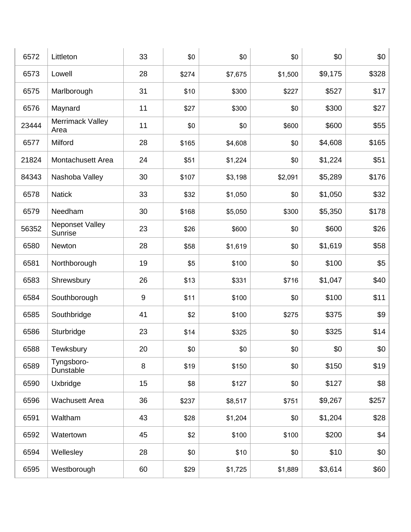| 6572  | Littleton                  | 33    | \$0   | \$0     | \$0     | \$0     | \$0   |
|-------|----------------------------|-------|-------|---------|---------|---------|-------|
| 6573  | Lowell                     | 28    | \$274 | \$7,675 | \$1,500 | \$9,175 | \$328 |
| 6575  | Marlborough                | 31    | \$10  | \$300   | \$227   | \$527   | \$17  |
| 6576  | Maynard                    | 11    | \$27  | \$300   | \$0     | \$300   | \$27  |
| 23444 | Merrimack Valley<br>Area   | 11    | \$0   | \$0     | \$600   | \$600   | \$55  |
| 6577  | Milford                    | 28    | \$165 | \$4,608 | \$0     | \$4,608 | \$165 |
| 21824 | Montachusett Area          | 24    | \$51  | \$1,224 | \$0     | \$1,224 | \$51  |
| 84343 | Nashoba Valley             | 30    | \$107 | \$3,198 | \$2,091 | \$5,289 | \$176 |
| 6578  | <b>Natick</b>              | 33    | \$32  | \$1,050 | \$0     | \$1,050 | \$32  |
| 6579  | Needham                    | 30    | \$168 | \$5,050 | \$300   | \$5,350 | \$178 |
| 56352 | Neponset Valley<br>Sunrise | 23    | \$26  | \$600   | \$0     | \$600   | \$26  |
| 6580  | Newton                     | 28    | \$58  | \$1,619 | \$0     | \$1,619 | \$58  |
| 6581  | Northborough               | 19    | \$5   | \$100   | \$0     | \$100   | \$5   |
| 6583  | Shrewsbury                 | 26    | \$13  | \$331   | \$716   | \$1,047 | \$40  |
| 6584  | Southborough               | $9\,$ | \$11  | \$100   | \$0     | \$100   | \$11  |
| 6585  | Southbridge                | 41    | \$2   | \$100   | \$275   | \$375   | \$9   |
| 6586  | Sturbridge                 | 23    | \$14  | \$325   | \$0     | \$325   | \$14  |
| 6588  | Tewksbury                  | 20    | \$0   | \$0     | \$0     | \$0     | \$0   |
| 6589  | Tyngsboro-<br>Dunstable    | 8     | \$19  | \$150   | \$0     | \$150   | \$19  |
| 6590  | Uxbridge                   | 15    | \$8   | \$127   | \$0     | \$127   | \$8   |
| 6596  | <b>Wachusett Area</b>      | 36    | \$237 | \$8,517 | \$751   | \$9,267 | \$257 |
| 6591  | Waltham                    | 43    | \$28  | \$1,204 | \$0     | \$1,204 | \$28  |
| 6592  | Watertown                  | 45    | \$2   | \$100   | \$100   | \$200   | \$4   |
| 6594  | Wellesley                  | 28    | \$0   | \$10    | \$0     | \$10    | \$0   |
| 6595  | Westborough                | 60    | \$29  | \$1,725 | \$1,889 | \$3,614 | \$60  |